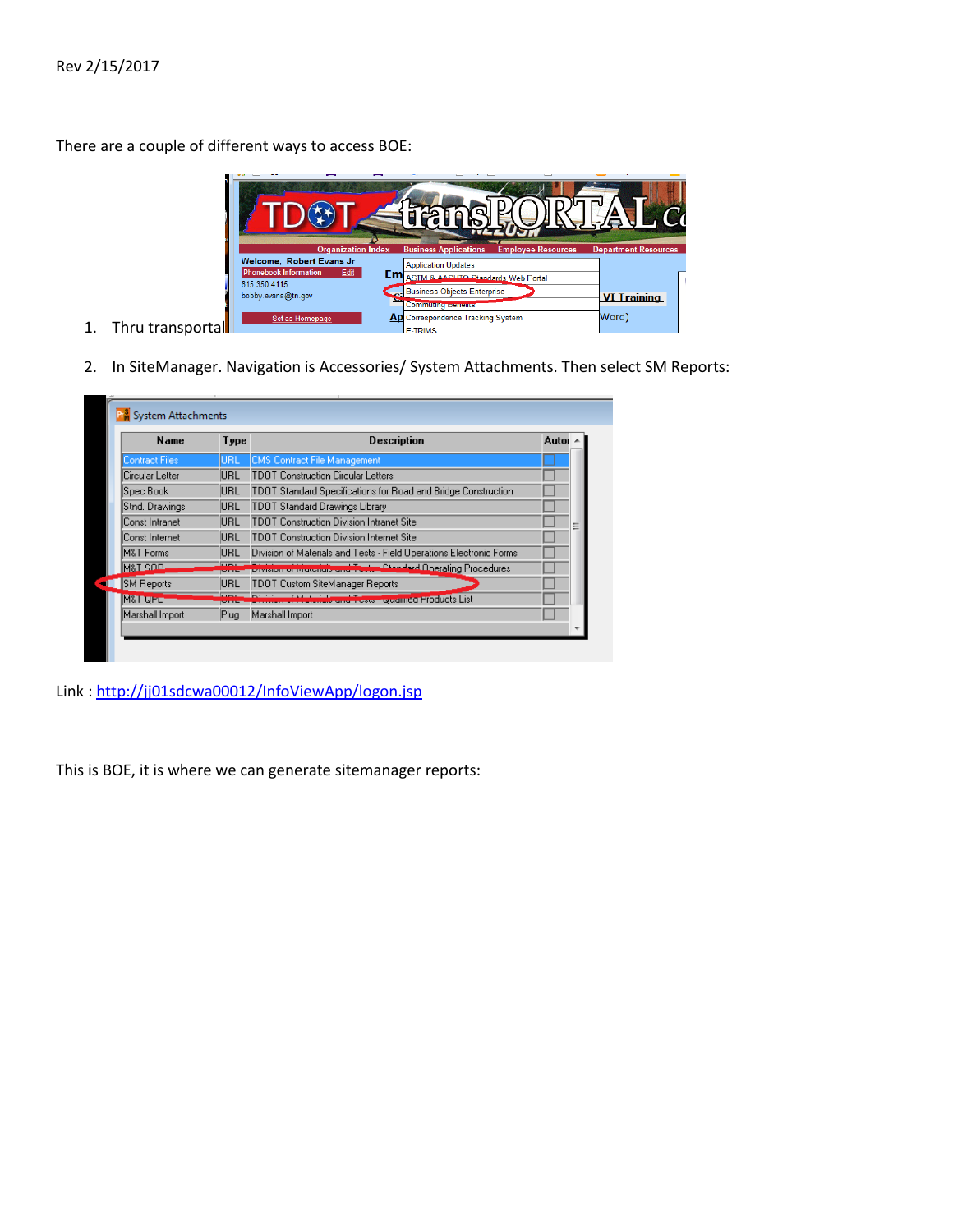There are a couple of different ways to access BOE:



- 1. Thru transportal
- 2. In SiteManager. Navigation is Accessories/ System Attachments. Then select SM Reports:

| <b>Name</b>       | Type | <b>Description</b>                                                  | Autor |   |
|-------------------|------|---------------------------------------------------------------------|-------|---|
| Contract Files    | IURL | CMS Contract File Management                                        |       |   |
| Circular Letter   | URL  | TDOT Construction Circular Letters                                  |       |   |
| Spec Book         | URL  | TDOT Standard Specifications for Road and Bridge Construction       |       |   |
| Stnd. Drawings    | URL  | TDOT Standard Drawings Library                                      |       |   |
| Const Intranet    | URL  | TDOT Construction Division Intranet Site                            |       | Ξ |
| Const Internet    | URL  | TDOT Construction Division Internet Site                            |       |   |
| M&T Forms         | URL  | Division of Materials and Tests - Field Operations Electronic Forms |       |   |
| M&T SOP           |      | Chanderd Onerating Procedures                                       |       |   |
| <b>SM Reports</b> | URL  | TDOT Custom SiteManager Reports                                     |       |   |
| M&T UPL           |      | <u> "Liu and Tosts" Qualined Products List</u>                      |       |   |
| Marshall Import   | Plug | Marshall Import                                                     |       |   |

Link :<http://jj01sdcwa00012/InfoViewApp/logon.jsp>

This is BOE, it is where we can generate sitemanager reports: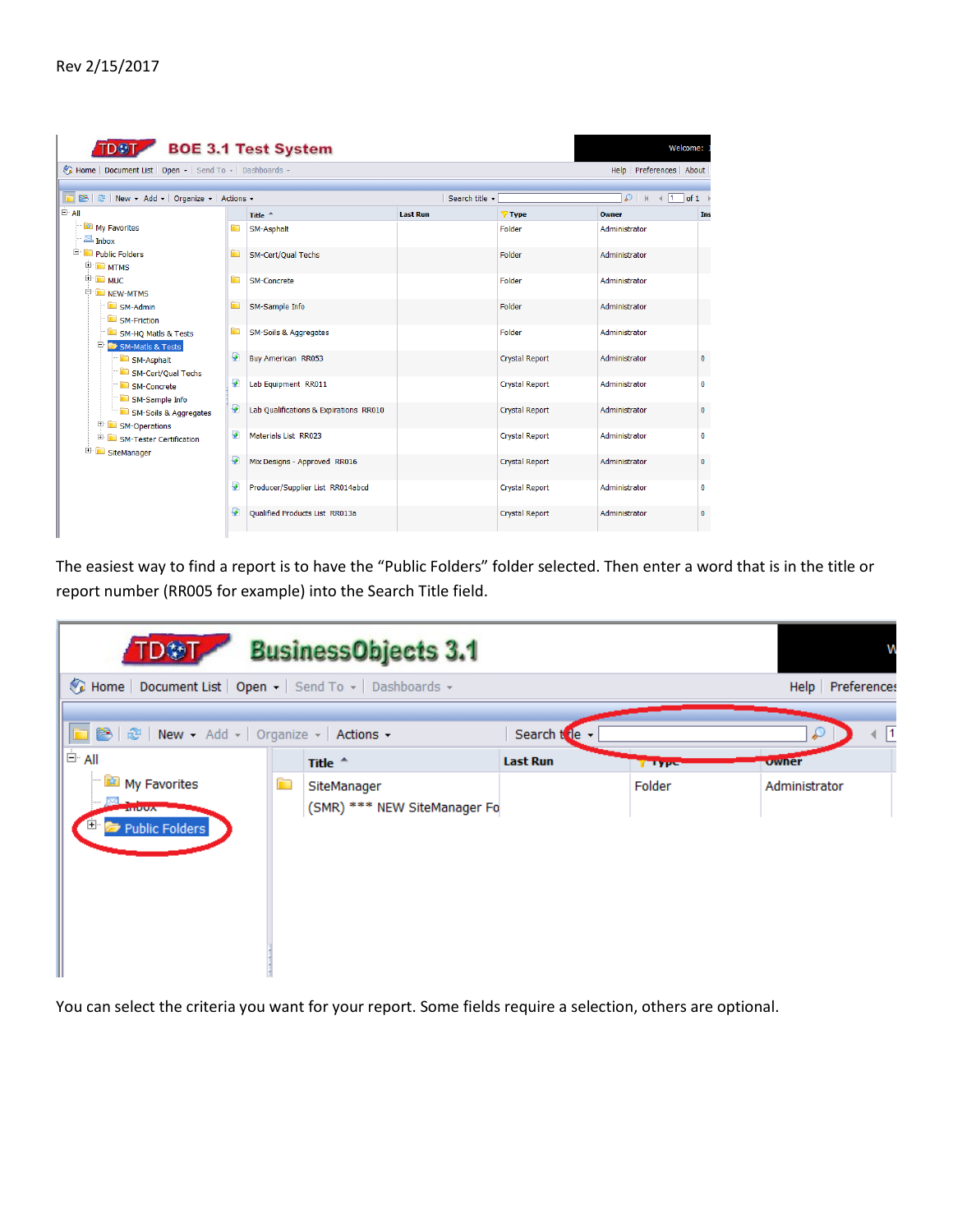| <b>B</b> $\mathbb{R}$ New - Add - Organize - Actions -                                                                                        |   |                                        |                 | Search title - |                       | $\mathcal{P}$   $\mathbb{N}$   1   of 1 |  |
|-----------------------------------------------------------------------------------------------------------------------------------------------|---|----------------------------------------|-----------------|----------------|-----------------------|-----------------------------------------|--|
| i⊟⊤all                                                                                                                                        |   | Title $+$                              | <b>Last Run</b> |                | <b>Type</b>           | Owner                                   |  |
| My Favorites<br>$\mathbb{Z}$ Inbox                                                                                                            | È | SM-Asphalt                             |                 |                | Folder                | Administrator                           |  |
| <b>E</b> Public Folders<br><b>E</b> MTMS                                                                                                      | È | SM-Cert/Qual Techs                     |                 |                | Folder                | Administrator                           |  |
| <b>E</b> MUC<br><b>E</b> NEW-MTMS                                                                                                             | È | <b>SM-Concrete</b>                     |                 |                | Folder                | Administrator                           |  |
| SM-Admin<br>SM-Friction<br>SM-HQ Matls & Tests<br>Ė.<br>SM-Matls & Tests<br>SM-Asphalt<br>SM-Cert/Oual Techs<br>SM-Concrete<br>SM-Sample Info | È | SM-Sample Info                         |                 |                | Folder                | Administrator                           |  |
|                                                                                                                                               | È | <b>SM-Soils &amp; Aggregates</b>       |                 |                | Folder                | Administrator                           |  |
|                                                                                                                                               | ₽ | <b>Buy American RR053</b>              |                 |                | Crystal Report        | Administrator                           |  |
|                                                                                                                                               | ₽ | Lab Equipment RR011                    |                 |                | <b>Crystal Report</b> | Administrator                           |  |
| SM-Soils & Aggregates<br>SM-Operations                                                                                                        | ₽ | Lab Qualifications & Expirations RR010 |                 |                | <b>Crystal Report</b> | Administrator                           |  |
| E SM-Tester Certification<br>田…<br>SiteManager                                                                                                | ₽ | Materials List RR023                   |                 |                | <b>Crystal Report</b> | Administrator                           |  |
|                                                                                                                                               | ₽ | Mix Designs - Approved RR016           |                 |                | <b>Crystal Report</b> | Administrator                           |  |
|                                                                                                                                               | ₽ | Producer/Supplier List RR014abcd       |                 |                | <b>Crystal Report</b> | Administrator                           |  |
|                                                                                                                                               | ₽ | <b>Oualified Products List RR013a</b>  |                 |                | <b>Crystal Report</b> | Administrator                           |  |

The easiest way to find a report is to have the "Public Folders" folder selected. Then enter a word that is in the title or report number (RR005 for example) into the Search Title field.

| <b>BusinessObjects 3.1</b><br><b>TD鈔T</b>                |   |                                             |                 |               |                    |  |
|----------------------------------------------------------|---|---------------------------------------------|-----------------|---------------|--------------------|--|
| Home   Document List   Open -   Send To -   Dashboards - |   |                                             |                 |               | Help   Preferences |  |
| □ 8   2   New - Add -   Organize -   Actions -           |   |                                             | Search to le    |               | $\sqrt{1}$<br>₽    |  |
| <sup>≐</sup> All                                         |   | Title $\triangle$                           | <b>Last Run</b> | <b>TELYPS</b> | owner              |  |
| My Favorites<br><b>ALLUMN</b><br>Public Folders          | È | SiteManager<br>(SMR) *** NEW SiteManager Fo |                 | Folder        | Administrator      |  |

You can select the criteria you want for your report. Some fields require a selection, others are optional.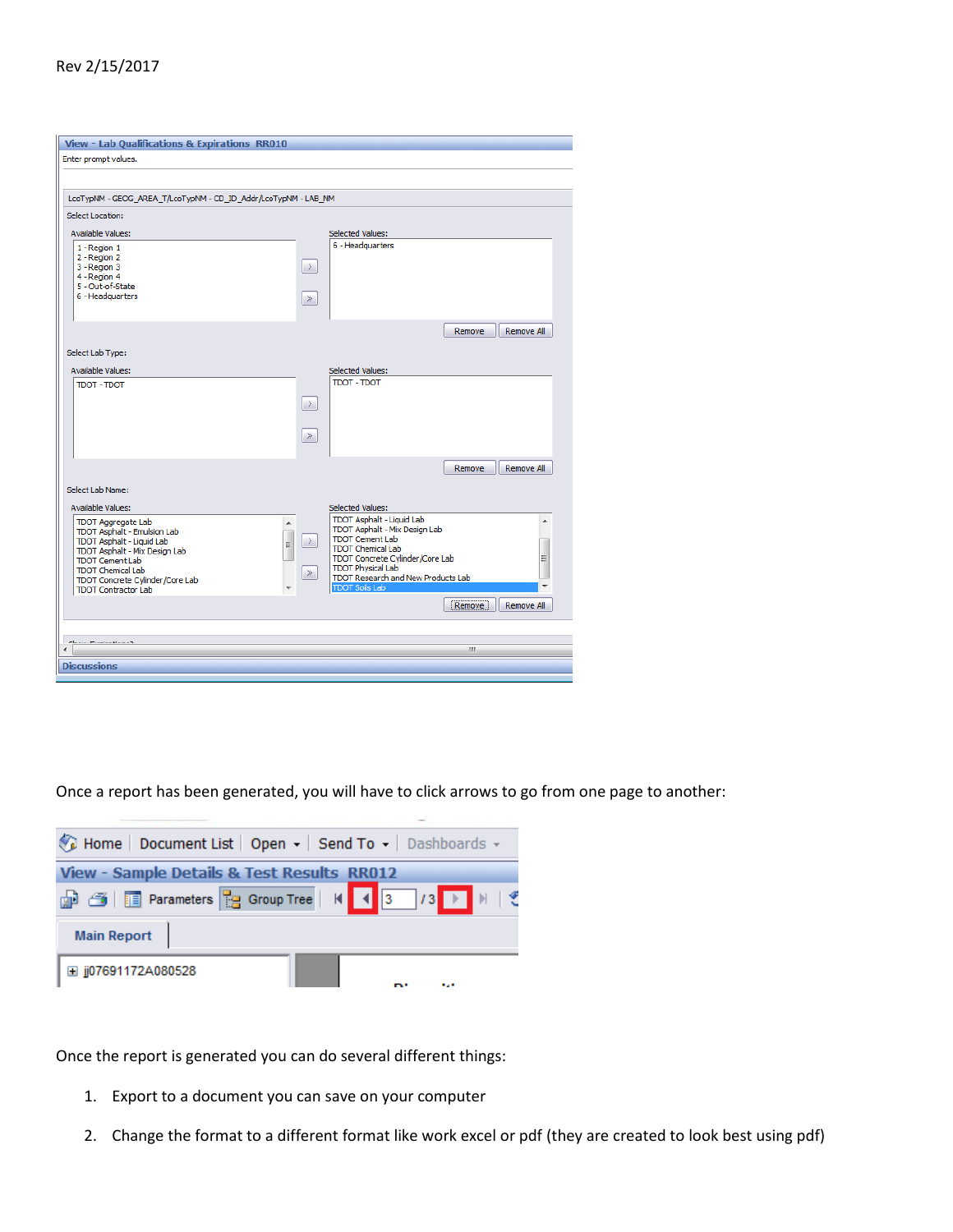## Rev 2/15/2017

| Enter prompt values.<br>LCOTypNM - GEOG_AREA_T/LCOTypNM - CD_ID_Addr/LCOTypNM - LAB_NM<br>Select Location:<br><b>Available Values:</b><br>Selected Values:<br>6 - Headquarters<br>1 - Region 1<br>2 - Region 2<br>3 - Region 3<br>$\rightarrow$<br>4 - Region 4<br>5 - Out-of-State<br>6 - Headquarters<br>$\gg$<br>Remove All<br>Remove<br>Select Lab Type:<br><b>Available Values:</b><br><b>Selected Values:</b><br>TDOT - TDOT<br>TDOT - TDOT<br>$\rightarrow$<br>$\gg$<br>Remove<br>Remove All<br>Select Lab Name:<br>Available Values:<br>Selected Values:<br>TDOT Asphalt - Liquid Lab<br><b>TDOT Aggregate Lab</b><br>A<br>TDOT Asphalt - Mix Design Lab<br>TDOT Asphalt - Emulsion Lab<br>$\frac{1}{1}$<br><b>TDOT Cement Lab</b><br>TDOT Asphalt - Liquid Lab<br>$\rightarrow$<br><b>TDOT Chemical Lab</b><br>TDOT Asphalt - Mix Design Lab<br>Ξ<br>TDOT Concrete Cylinder/Core Lab<br><b>TDOT Cement Lab</b><br><b>TDOT Physical Lab</b><br><b>TDOT Chemical Lab</b><br>$\gg$<br>TDOT Research and New Products Lab<br>TDOT Concrete Cylinder/Core Lab<br><b>TDOT Soils Lab</b><br><b>TDOT Contractor Lab</b><br>۰<br>Remove<br>Remove All<br>Chairm Continuation of<br>m.<br>∢<br><b>Discussions</b> | View - Lab Qualifications & Expirations RR010 |  |  |
|------------------------------------------------------------------------------------------------------------------------------------------------------------------------------------------------------------------------------------------------------------------------------------------------------------------------------------------------------------------------------------------------------------------------------------------------------------------------------------------------------------------------------------------------------------------------------------------------------------------------------------------------------------------------------------------------------------------------------------------------------------------------------------------------------------------------------------------------------------------------------------------------------------------------------------------------------------------------------------------------------------------------------------------------------------------------------------------------------------------------------------------------------------------------------------------------------------------|-----------------------------------------------|--|--|
|                                                                                                                                                                                                                                                                                                                                                                                                                                                                                                                                                                                                                                                                                                                                                                                                                                                                                                                                                                                                                                                                                                                                                                                                                  |                                               |  |  |
|                                                                                                                                                                                                                                                                                                                                                                                                                                                                                                                                                                                                                                                                                                                                                                                                                                                                                                                                                                                                                                                                                                                                                                                                                  |                                               |  |  |
|                                                                                                                                                                                                                                                                                                                                                                                                                                                                                                                                                                                                                                                                                                                                                                                                                                                                                                                                                                                                                                                                                                                                                                                                                  |                                               |  |  |
|                                                                                                                                                                                                                                                                                                                                                                                                                                                                                                                                                                                                                                                                                                                                                                                                                                                                                                                                                                                                                                                                                                                                                                                                                  |                                               |  |  |
|                                                                                                                                                                                                                                                                                                                                                                                                                                                                                                                                                                                                                                                                                                                                                                                                                                                                                                                                                                                                                                                                                                                                                                                                                  |                                               |  |  |
|                                                                                                                                                                                                                                                                                                                                                                                                                                                                                                                                                                                                                                                                                                                                                                                                                                                                                                                                                                                                                                                                                                                                                                                                                  |                                               |  |  |
|                                                                                                                                                                                                                                                                                                                                                                                                                                                                                                                                                                                                                                                                                                                                                                                                                                                                                                                                                                                                                                                                                                                                                                                                                  |                                               |  |  |
|                                                                                                                                                                                                                                                                                                                                                                                                                                                                                                                                                                                                                                                                                                                                                                                                                                                                                                                                                                                                                                                                                                                                                                                                                  |                                               |  |  |
|                                                                                                                                                                                                                                                                                                                                                                                                                                                                                                                                                                                                                                                                                                                                                                                                                                                                                                                                                                                                                                                                                                                                                                                                                  |                                               |  |  |
|                                                                                                                                                                                                                                                                                                                                                                                                                                                                                                                                                                                                                                                                                                                                                                                                                                                                                                                                                                                                                                                                                                                                                                                                                  |                                               |  |  |
|                                                                                                                                                                                                                                                                                                                                                                                                                                                                                                                                                                                                                                                                                                                                                                                                                                                                                                                                                                                                                                                                                                                                                                                                                  |                                               |  |  |
|                                                                                                                                                                                                                                                                                                                                                                                                                                                                                                                                                                                                                                                                                                                                                                                                                                                                                                                                                                                                                                                                                                                                                                                                                  |                                               |  |  |
|                                                                                                                                                                                                                                                                                                                                                                                                                                                                                                                                                                                                                                                                                                                                                                                                                                                                                                                                                                                                                                                                                                                                                                                                                  |                                               |  |  |
|                                                                                                                                                                                                                                                                                                                                                                                                                                                                                                                                                                                                                                                                                                                                                                                                                                                                                                                                                                                                                                                                                                                                                                                                                  |                                               |  |  |
|                                                                                                                                                                                                                                                                                                                                                                                                                                                                                                                                                                                                                                                                                                                                                                                                                                                                                                                                                                                                                                                                                                                                                                                                                  |                                               |  |  |
|                                                                                                                                                                                                                                                                                                                                                                                                                                                                                                                                                                                                                                                                                                                                                                                                                                                                                                                                                                                                                                                                                                                                                                                                                  |                                               |  |  |
|                                                                                                                                                                                                                                                                                                                                                                                                                                                                                                                                                                                                                                                                                                                                                                                                                                                                                                                                                                                                                                                                                                                                                                                                                  |                                               |  |  |
|                                                                                                                                                                                                                                                                                                                                                                                                                                                                                                                                                                                                                                                                                                                                                                                                                                                                                                                                                                                                                                                                                                                                                                                                                  |                                               |  |  |
|                                                                                                                                                                                                                                                                                                                                                                                                                                                                                                                                                                                                                                                                                                                                                                                                                                                                                                                                                                                                                                                                                                                                                                                                                  |                                               |  |  |
|                                                                                                                                                                                                                                                                                                                                                                                                                                                                                                                                                                                                                                                                                                                                                                                                                                                                                                                                                                                                                                                                                                                                                                                                                  |                                               |  |  |
|                                                                                                                                                                                                                                                                                                                                                                                                                                                                                                                                                                                                                                                                                                                                                                                                                                                                                                                                                                                                                                                                                                                                                                                                                  |                                               |  |  |
|                                                                                                                                                                                                                                                                                                                                                                                                                                                                                                                                                                                                                                                                                                                                                                                                                                                                                                                                                                                                                                                                                                                                                                                                                  |                                               |  |  |
|                                                                                                                                                                                                                                                                                                                                                                                                                                                                                                                                                                                                                                                                                                                                                                                                                                                                                                                                                                                                                                                                                                                                                                                                                  |                                               |  |  |
|                                                                                                                                                                                                                                                                                                                                                                                                                                                                                                                                                                                                                                                                                                                                                                                                                                                                                                                                                                                                                                                                                                                                                                                                                  |                                               |  |  |
|                                                                                                                                                                                                                                                                                                                                                                                                                                                                                                                                                                                                                                                                                                                                                                                                                                                                                                                                                                                                                                                                                                                                                                                                                  |                                               |  |  |
|                                                                                                                                                                                                                                                                                                                                                                                                                                                                                                                                                                                                                                                                                                                                                                                                                                                                                                                                                                                                                                                                                                                                                                                                                  |                                               |  |  |
|                                                                                                                                                                                                                                                                                                                                                                                                                                                                                                                                                                                                                                                                                                                                                                                                                                                                                                                                                                                                                                                                                                                                                                                                                  |                                               |  |  |
|                                                                                                                                                                                                                                                                                                                                                                                                                                                                                                                                                                                                                                                                                                                                                                                                                                                                                                                                                                                                                                                                                                                                                                                                                  |                                               |  |  |
|                                                                                                                                                                                                                                                                                                                                                                                                                                                                                                                                                                                                                                                                                                                                                                                                                                                                                                                                                                                                                                                                                                                                                                                                                  |                                               |  |  |
|                                                                                                                                                                                                                                                                                                                                                                                                                                                                                                                                                                                                                                                                                                                                                                                                                                                                                                                                                                                                                                                                                                                                                                                                                  |                                               |  |  |
|                                                                                                                                                                                                                                                                                                                                                                                                                                                                                                                                                                                                                                                                                                                                                                                                                                                                                                                                                                                                                                                                                                                                                                                                                  |                                               |  |  |

Once a report has been generated, you will have to click arrows to go from one page to another:

| Home   Document List   Open -   Send To -   Dashboards - |
|----------------------------------------------------------|
| View - Sample Details & Test Results RR012               |
|                                                          |
| Main Report                                              |
| $\parallel$ $\boxplus$ jj07691172A080528                 |

Once the report is generated you can do several different things:

- 1. Export to a document you can save on your computer
- 2. Change the format to a different format like work excel or pdf (they are created to look best using pdf)